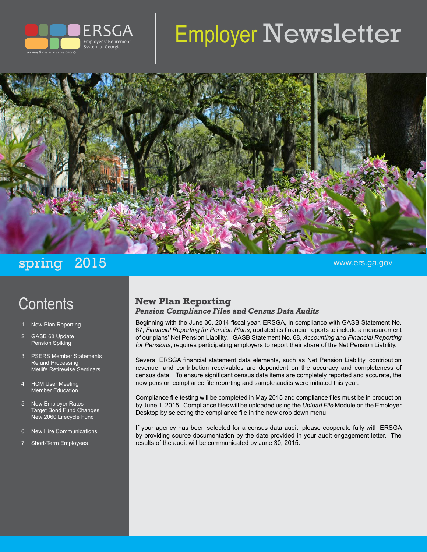

# Employer Newsletter



## spring 2015 www.ers.ga.gov

## **Contents**

- **New Plan Reporting**
- 2 GASB 68 Update Pension Spiking
- 3 PSERS Member Statements Refund Processing Metlife Retirewise Seminars
- 4 HCM User Meeting Member Education
- 5 New Employer Rates Target Bond Fund Changes New 2060 Lifecycle Fund
- 6 New Hire Communications
- Short-Term Employees

#### **New Plan Reporting**

*Pension Compliance Files and Census Data Audits*

Beginning with the June 30, 2014 fiscal year, ERSGA, in compliance with GASB Statement No. 67, *Financial Reporting for Pension Plans*, updated its financial reports to include a measurement of our plans' Net Pension Liability. GASB Statement No. 68, *Accounting and Financial Reporting for Pensions*, requires participating employers to report their share of the Net Pension Liability.

Several ERSGA financial statement data elements, such as Net Pension Liability, contribution revenue, and contribution receivables are dependent on the accuracy and completeness of census data. To ensure significant census data items are completely reported and accurate, the new pension compliance file reporting and sample audits were initiated this year.

Compliance file testing will be completed in May 2015 and compliance files must be in production by June 1, 2015. Compliance files will be uploaded using the *Upload File* Module on the Employer Desktop by selecting the compliance file in the new drop down menu.

If your agency has been selected for a census data audit, please cooperate fully with ERSGA by providing source documentation by the date provided in your audit engagement letter. The results of the audit will be communicated by June 30, 2015.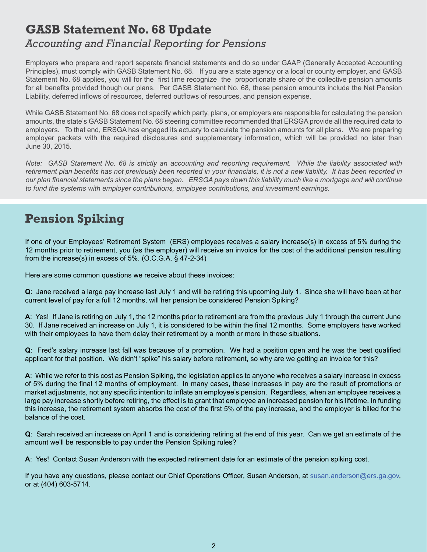#### **GASB Statement No. 68 Update**  *Accounting and Financial Reporting for Pensions*

Employers who prepare and report separate financial statements and do so under GAAP (Generally Accepted Accounting Principles), must comply with GASB Statement No. 68. If you are a state agency or a local or county employer, and GASB Statement No. 68 applies, you will for the first time recognize the proportionate share of the collective pension amounts for all benefits provided though our plans. Per GASB Statement No. 68, these pension amounts include the Net Pension Liability, deferred inflows of resources, deferred outflows of resources, and pension expense.

While GASB Statement No. 68 does not specify which party, plans, or employers are responsible for calculating the pension amounts, the state's GASB Statement No. 68 steering committee recommended that ERSGA provide all the required data to employers. To that end, ERSGA has engaged its actuary to calculate the pension amounts for all plans. We are preparing employer packets with the required disclosures and supplementary information, which will be provided no later than June 30, 2015.

*Note: GASB Statement No. 68 is strictly an accounting and reporting requirement. While the liability associated with*  retirement plan benefits has not previously been reported in your financials, it is not a new liability. It has been reported in *our plan financial statements since the plans began. ERSGA pays down this liability much like a mortgage and will continue to fund the systems with employer contributions, employee contributions, and investment earnings.* 

## **Pension Spiking**

If one of your Employees' Retirement System (ERS) employees receives a salary increase(s) in excess of 5% during the 12 months prior to retirement, you (as the employer) will receive an invoice for the cost of the additional pension resulting from the increase(s) in excess of 5%. (O.C.G.A. § 47-2-34)

Here are some common questions we receive about these invoices:

**Q**: Jane received a large pay increase last July 1 and will be retiring this upcoming July 1. Since she will have been at her current level of pay for a full 12 months, will her pension be considered Pension Spiking?

**A**: Yes! If Jane is retiring on July 1, the 12 months prior to retirement are from the previous July 1 through the current June 30. If Jane received an increase on July 1, it is considered to be within the final 12 months. Some employers have worked with their employees to have them delay their retirement by a month or more in these situations.

**Q**: Fred's salary increase last fall was because of a promotion. We had a position open and he was the best qualified applicant for that position. We didn't "spike" his salary before retirement, so why are we getting an invoice for this?

**A**: While we refer to this cost as Pension Spiking, the legislation applies to anyone who receives a salary increase in excess of 5% during the final 12 months of employment. In many cases, these increases in pay are the result of promotions or market adjustments, not any specific intention to inflate an employee's pension. Regardless, when an employee receives a large pay increase shortly before retiring, the effect is to grant that employee an increased pension for his lifetime. In funding this increase, the retirement system absorbs the cost of the first 5% of the pay increase, and the employer is billed for the balance of the cost.

**Q**: Sarah received an increase on April 1 and is considering retiring at the end of this year. Can we get an estimate of the amount we'll be responsible to pay under the Pension Spiking rules?

**A**: Yes! Contact Susan Anderson with the expected retirement date for an estimate of the pension spiking cost.

If you have any questions, please contact our Chief Operations Officer, Susan Anderson, at [susan.anderson@ers.ga.gov](mailto:), or at (404) 603-5714.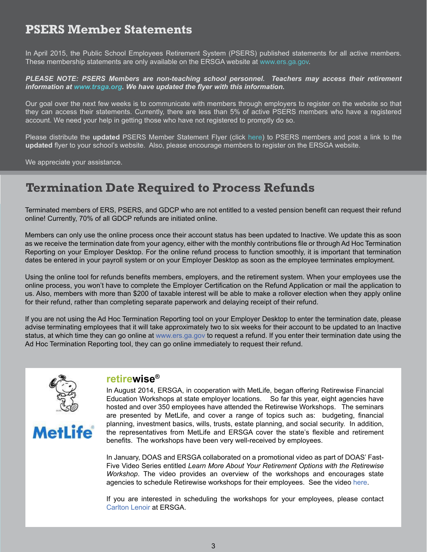#### **PSERS Member Statements**

In April 2015, the Public School Employees Retirement System (PSERS) published statements for all active members. These membership statements are only available on the ERSGA website at [www.ers.ga.gov.](http://www.ers.ga.gov)

#### *PLEASE NOTE: PSERS Members are non-teaching school personnel. Teachers may access their retirement information at [www.trsga.org](http://www.trsga.org). We have updated the flyer with this information.*

Our goal over the next few weeks is to communicate with members through employers to register on the website so that they can access their statements. Currently, there are less than 5% of active PSERS members who have a registered account. We need your help in getting those who have not registered to promptly do so.

Please distribute the **updated** PSERS Member Statement Flyer (click [here\)](http://www.ers.ga.gov/Docs/Formsandpubs/PSERSMemberStatementFlyer.pdf) to PSERS members and post a link to the **updated** flyer to your school's website. Also, please encourage members to register on the ERSGA website.

We appreciate your assistance.

#### **Termination Date Required to Process Refunds**

Terminated members of ERS, PSERS, and GDCP who are not entitled to a vested pension benefit can request their refund online! Currently, 70% of all GDCP refunds are initiated online.

Members can only use the online process once their account status has been updated to Inactive. We update this as soon as we receive the termination date from your agency, either with the monthly contributions file or through Ad Hoc Termination Reporting on your Employer Desktop. For the online refund process to function smoothly, it is important that termination dates be entered in your payroll system or on your Employer Desktop as soon as the employee terminates employment.

Using the online tool for refunds benefits members, employers, and the retirement system. When your employees use the online process, you won't have to complete the Employer Certification on the Refund Application or mail the application to us. Also, members with more than \$200 of taxable interest will be able to make a rollover election when they apply online for their refund, rather than completing separate paperwork and delaying receipt of their refund.

If you are not using the Ad Hoc Termination Reporting tool on your Employer Desktop to enter the termination date, please advise terminating employees that it will take approximately two to six weeks for their account to be updated to an Inactive status, at which time they can go online at [www.ers.ga.gov](http://www.ers.ga.gov) to request a refund. If you enter their termination date using the Ad Hoc Termination Reporting tool, they can go online immediately to request their refund.



**MetLife** 

#### **retirewise®**

In August 2014, ERSGA, in cooperation with MetLife, began offering Retirewise Financial Education Workshops at state employer locations. So far this year, eight agencies have hosted and over 350 employees have attended the Retirewise Workshops. The seminars are presented by MetLife, and cover a range of topics such as: budgeting, financial planning, investment basics, wills, trusts, estate planning, and social security. In addition, the representatives from MetLife and ERSGA cover the state's flexible and retirement benefits. The workshops have been very well-received by employees.

In January, DOAS and ERSGA collaborated on a promotional video as part of DOAS' Fast-Five Video Series entitled *Learn More About Your Retirement Options with the Retirewise Workshop*. The video provides an overview of the workshops and encourages state agencies to schedule Retirewise workshops for their employees. See the video [here.](http://team.georgia.gov/georgia-news/learn-more-about-your-retirement-options-with-retirewise-workshop-series/)

If you are interested in scheduling the workshops for your employees, please contact [Carlton Lenoir](mailto:carlton.lenoir@ers.ga.gov) at ERSGA.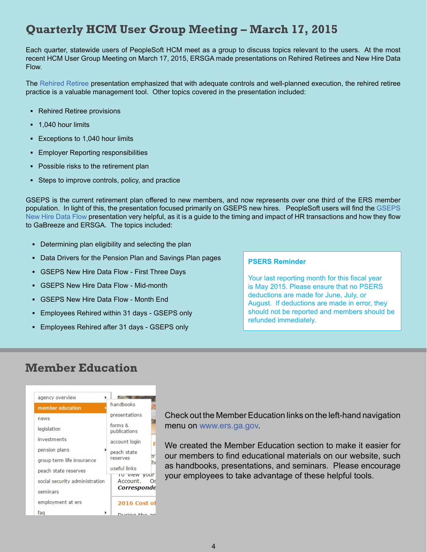#### **Quarterly HCM User Group Meeting – March 17, 2015**

Each quarter, statewide users of PeopleSoft HCM meet as a group to discuss topics relevant to the users. At the most recent HCM User Group Meeting on March 17, 2015, ERSGA made presentations on Rehired Retirees and New Hire Data Flow.

The [Rehired Retiree](http://www.ers.ga.gov/Docs/Formsandpubs/Rehired%20Retiree%20Reporting03182015.pdf) presentation emphasized that with adequate controls and well-planned execution, the rehired retiree practice is a valuable management tool. Other topics covered in the presentation included:

- **▪** Rehired Retiree provisions
- 1,040 hour limits
- **▪** Exceptions to 1,040 hour limits
- **▪** Employer Reporting responsibilities
- **▪** Possible risks to the retirement plan
- Steps to improve controls, policy, and practice

GSEPS is the current retirement plan offered to new members, and now represents over one third of the ERS member population. In light of this, the presentation focused primarily on GSEPS new hires. PeopleSoft users will find the [GSEPS](http://www.ers.ga.gov/Docs/Formsandpubs/HCM%20Presentation_GSEPS%20New%20Hire%20Data%20Flow.pdf)  [New Hire Data Flow](http://www.ers.ga.gov/Docs/Formsandpubs/HCM%20Presentation_GSEPS%20New%20Hire%20Data%20Flow.pdf) presentation very helpful, as it is a guide to the timing and impact of HR transactions and how they flow to GaBreeze and ERSGA. The topics included:

- **▪** Determining plan eligibility and selecting the plan
- **▪** Data Drivers for the Pension Plan and Savings Plan pages
- **GSEPS New Hire Data Flow First Three Days**
- **▪** GSEPS New Hire Data Flow Mid-month
- **▪** GSEPS New Hire Data Flow Month End
- **▪** Employees Rehired within 31 days GSEPS only
- **▪** Employees Rehired after 31 days GSEPS only

#### **PSERS Reminder**

Your last reporting month for this fiscal year is May 2015. Please ensure that no PSERS deductions are made for June, July, or August. If deductions are made in error, they should not be reported and members should be refunded immediately.

#### **Member Education**



Check out the Member Education links on the left-hand navigation menu on [www.ers.ga.gov](http://www.ers.ga.gov).

We created the Member Education section to make it easier for our members to find educational materials on our website, such as handbooks, presentations, and seminars. Please encourage your employees to take advantage of these helpful tools.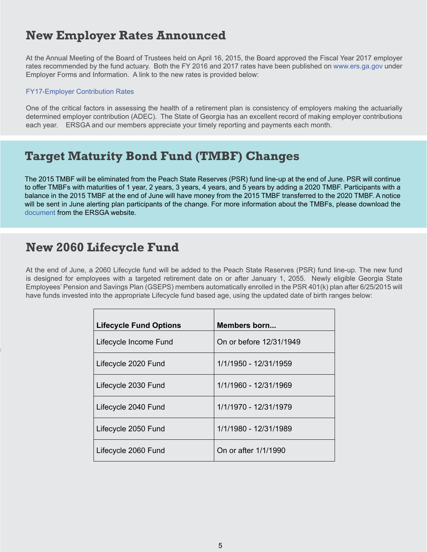### **New Employer Rates Announced**

At the Annual Meeting of the Board of Trustees held on April 16, 2015, the Board approved the Fiscal Year 2017 employer rates recommended by the fund actuary. Both the FY 2016 and 2017 rates have been published on [www.ers.ga.gov](http://www.ers.ga.gov) under Employer Forms and Information. A link to the new rates is provided below:

#### [FY17-Employer Contribution Rates](http://www.ers.ga.gov/Docs/Formsandpubs/EmployerContributionRatesFY17.pdf)

One of the critical factors in assessing the health of a retirement plan is consistency of employers making the actuarially determined employer contribution (ADEC). The State of Georgia has an excellent record of making employer contributions each year. ERSGA and our members appreciate your timely reporting and payments each month.

#### **Target Maturity Bond Fund (TMBF) Changes**

The 2015 TMBF will be eliminated from the Peach State Reserves (PSR) fund line-up at the end of June. PSR will continue to offer TMBFs with maturities of 1 year, 2 years, 3 years, 4 years, and 5 years by adding a 2020 TMBF. Participants with a balance in the 2015 TMBF at the end of June will have money from the 2015 TMBF transferred to the 2020 TMBF. A notice will be sent in June alerting plan participants of the change. For more information about the TMBFs, please download the [document](http://www.ers.ga.gov/docs/formsandpubs/GeorgiaTMBFv4%202015.pdf) from the ERSGA website.

#### **New 2060 Lifecycle Fund**

At the end of June, a 2060 Lifecycle fund will be added to the Peach State Reserves (PSR) fund line-up. The new fund is designed for employees with a targeted retirement date on or after January 1, 2055. Newly eligible Georgia State Employees' Pension and Savings Plan (GSEPS) members automatically enrolled in the PSR 401(k) plan after 6/25/2015 will have funds invested into the appropriate Lifecycle fund based age, using the updated date of birth ranges below:

| <b>Lifecycle Fund Options</b> | Members born            |
|-------------------------------|-------------------------|
| Lifecycle Income Fund         | On or before 12/31/1949 |
| Lifecycle 2020 Fund           | 1/1/1950 - 12/31/1959   |
| Lifecycle 2030 Fund           | 1/1/1960 - 12/31/1969   |
| Lifecycle 2040 Fund           | 1/1/1970 - 12/31/1979   |
| Lifecycle 2050 Fund           | 1/1/1980 - 12/31/1989   |
| Lifecycle 2060 Fund           | On or after 1/1/1990    |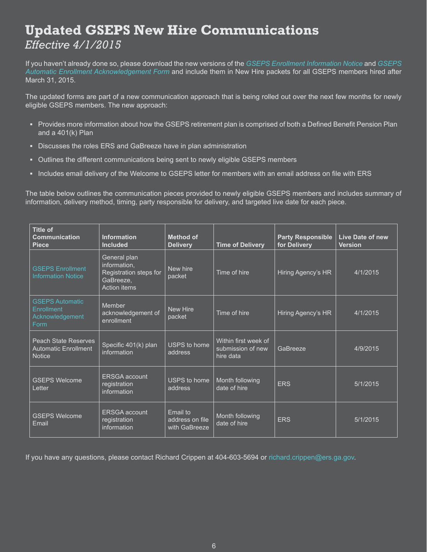## **Updated GSEPS New Hire Communications**  *Effective 4/1/2015*

If you haven't already done so, please download the new versions of the *[GSEPS Enrollment Information Notice](http://www.ers.ga.gov/Docs/Formsandpubs/GSEPS_Enrollment_Information_Notice.pdf)* and *[GSEPS](http://www.ers.ga.gov/Docs/Formsandpubs/GSEPSAutoEnrollmentAcknowledgement.pdf) [Automatic Enrollment Acknowledgement Form](http://www.ers.ga.gov/Docs/Formsandpubs/GSEPSAutoEnrollmentAcknowledgement.pdf)* and include them in New Hire packets for all GSEPS members hired after March 31, 2015.

The updated forms are part of a new communication approach that is being rolled out over the next few months for newly eligible GSEPS members. The new approach:

- **▪** Provides more information about how the GSEPS retirement plan is comprised of both a Defined Benefit Pension Plan and a 401(k) Plan
- Discusses the roles ERS and GaBreeze have in plan administration
- **▪** Outlines the different communications being sent to newly eligible GSEPS members
- **▪** Includes email delivery of the Welcome to GSEPS letter for members with an email address on file with ERS

The table below outlines the communication pieces provided to newly eligible GSEPS members and includes summary of information, delivery method, timing, party responsible for delivery, and targeted live date for each piece.

| <b>Title of</b><br><b>Communication</b><br><b>Piece</b>                     | <b>Information</b><br><b>Included</b>                                                      | <b>Method of</b><br><b>Delivery</b>          | <b>Time of Delivery</b>                                | <b>Party Responsible</b><br>for Delivery | <b>Live Date of new</b><br><b>Version</b> |
|-----------------------------------------------------------------------------|--------------------------------------------------------------------------------------------|----------------------------------------------|--------------------------------------------------------|------------------------------------------|-------------------------------------------|
| <b>GSEPS Enrollment</b><br><b>Information Notice</b>                        | General plan<br>information,<br>Registration steps for<br>GaBreeze,<br><b>Action items</b> | New hire<br>packet                           | Time of hire                                           | Hiring Agency's HR                       | 4/1/2015                                  |
| <b>GSEPS Automatic</b><br>Enrollment<br>Acknowledgement<br><b>Form</b>      | Member<br>acknowledgement of<br>enrollment                                                 | New Hire<br>packet                           | Time of hire                                           | <b>Hiring Agency's HR</b>                | 4/1/2015                                  |
| <b>Peach State Reserves</b><br><b>Automatic Enrollment</b><br><b>Notice</b> | Specific 401(k) plan<br>information                                                        | USPS to home<br>address                      | Within first week of<br>submission of new<br>hire data | GaBreeze                                 | 4/9/2015                                  |
| <b>GSEPS Welcome</b><br>Letter                                              | <b>ERSGA</b> account<br>registration<br>information                                        | USPS to home<br>address                      | Month following<br>date of hire                        | <b>ERS</b>                               | 5/1/2015                                  |
| <b>GSEPS Welcome</b><br>Email                                               | <b>ERSGA</b> account<br>registration<br>information                                        | Email to<br>address on file<br>with GaBreeze | Month following<br>date of hire                        | <b>ERS</b>                               | 5/1/2015                                  |

If you have any questions, please contact Richard Crippen at 404-603-5694 or [richard.crippen@ers.ga.gov.](mailto:richard.crippen@ers.ga.gov)